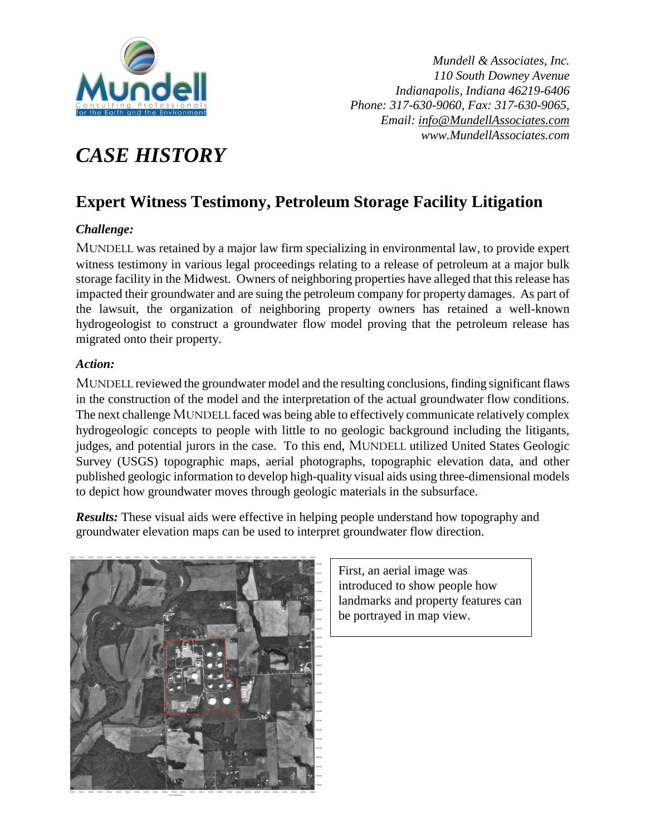

*Mundell & Associates, Inc. 110 South Downey Avenue Indianapolis, Indiana 46219-6406 Phone: 317-630-9060, Fax: 317-630-9065, Email: [info@MundellAssociates.com](mailto:info@MundellAssociates.com) www.MundellAssociates.com* 

## *CASE HISTORY*

## **Expert Witness Testimony, Petroleum Storage Facility Litigation**

## *Challenge:*

MUNDELL was retained by a major law firm specializing in environmental law, to provide expert witness testimony in various legal proceedings relating to a release of petroleum at a major bulk storage facility in the Midwest. Owners of neighboring properties have alleged that this release has impacted their groundwater and are suing the petroleum company for property damages. As part of the lawsuit, the organization of neighboring property owners has retained a well-known hydrogeologist to construct a groundwater flow model proving that the petroleum release has migrated onto their property.

## *Action:*

MUNDELL reviewed the groundwater model and the resulting conclusions, finding significant flaws in the construction of the model and the interpretation of the actual groundwater flow conditions. The next challenge MUNDELL faced was being able to effectively communicate relatively complex hydrogeologic concepts to people with little to no geologic background including the litigants, judges, and potential jurors in the case. To this end, MUNDELL utilized United States Geologic Survey (USGS) topographic maps, aerial photographs, topographic elevation data, and other published geologic information to develop high-quality visual aids using three-dimensional models to depict how groundwater moves through geologic materials in the subsurface.

*Results:* These visual aids were effective in helping people understand how topography and groundwater elevation maps can be used to interpret groundwater flow direction.



First, an aerial image was introduced to show people how landmarks and property features can be portrayed in map view.